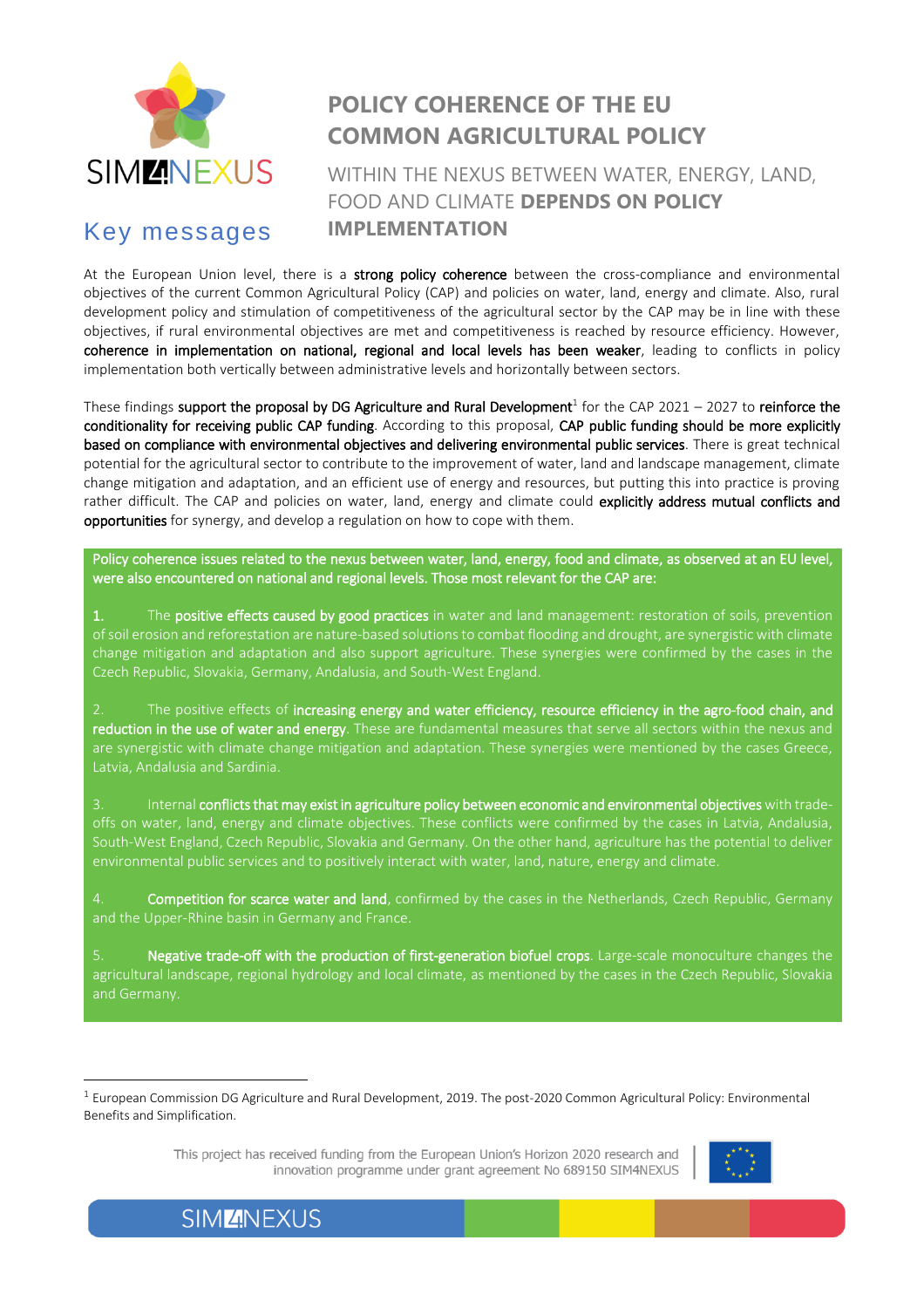

### Key messages

## **POLICY COHERENCE OF THE EU COMMON AGRICULTURAL POLICY**

WITHIN THE NEXUS BETWEEN WATER, ENERGY, LAND, FOOD AND CLIMATE **DEPENDS ON POLICY IMPLEMENTATION**

At the European Union level, there is a strong policy coherence between the cross-compliance and environmental objectives of the current Common Agricultural Policy (CAP) and policies on water, land, energy and climate. Also, rural development policy and stimulation of competitiveness of the agricultural sector by the CAP may be in line with these objectives, if rural environmental objectives are met and competitiveness is reached by resource efficiency. However, coherence in implementation on national, regional and local levels has been weaker, leading to conflicts in policy implementation both vertically between administrative levels and horizontally between sectors.

These findings support the proposal by DG Agriculture and Rural Development<sup>1</sup> for the CAP 2021 – 2027 to reinforce the conditionality for receiving public CAP funding. According to this proposal, CAP public funding should be more explicitly based on compliance with environmental objectives and delivering environmental public services. There is great technical potential for the agricultural sector to contribute to the improvement of water, land and landscape management, climate change mitigation and adaptation, and an efficient use of energy and resources, but putting this into practice is proving rather difficult. The CAP and policies on water, land, energy and climate could explicitly address mutual conflicts and opportunities for synergy, and develop a regulation on how to cope with them.

Policy coherence issues related to the nexus between water, land, energy, food and climate, as observed at an EU level, were also encountered on national and regional levels. Those most relevant for the CAP are:

1. The positive effects caused by good practices in water and land management: restoration of soils, prevention of soil erosion and reforestation are nature-based solutions to combat flooding and drought, are synergistic with climate change mitigation and adaptation and also support agriculture. These synergies were confirmed by the cases in the Czech Republic, Slovakia, Germany, Andalusia, and South-West England.

2. The positive effects of increasing energy and water efficiency, resource efficiency in the agro-food chain, and reduction in the use of water and energy. These are fundamental measures that serve all sectors within the nexus and are synergistic with climate change mitigation and adaptation. These synergies were mentioned by the cases Greece, Latvia, Andalusia and Sardinia.

3. Internal conflicts that may exist in agriculture policy between economic and environmental objectives with trade‐ offs on water, land, energy and climate objectives. These conflicts were confirmed by the cases in Latvia, Andalusia, South‐West England, Czech Republic, Slovakia and Germany. On the other hand, agriculture has the potential to deliver environmental public services and to positively interact with water, land, nature, energy and climate.

Competition for scarce water and land, confirmed by the cases in the Netherlands, Czech Republic, Germany and the Upper-Rhine basin in Germany and France.

5. Negative trade-off with the production of first-generation biofuel crops. Large-scale monoculture changes the agricultural landscape, regional hydrology and local climate, as mentioned by the cases in the Czech Republic, Slovakia and Germany.

This project has received funding from the European Union's Horizon 2020 research and innovation programme under grant agreement No 689150 SIM4NEXUS



**SIMZNEXUS** 

 $\overline{a}$ 

<sup>&</sup>lt;sup>1</sup> European Commission DG Agriculture and Rural Development, 2019. The post-2020 Common Agricultural Policy: Environmental Benefits and Simplification.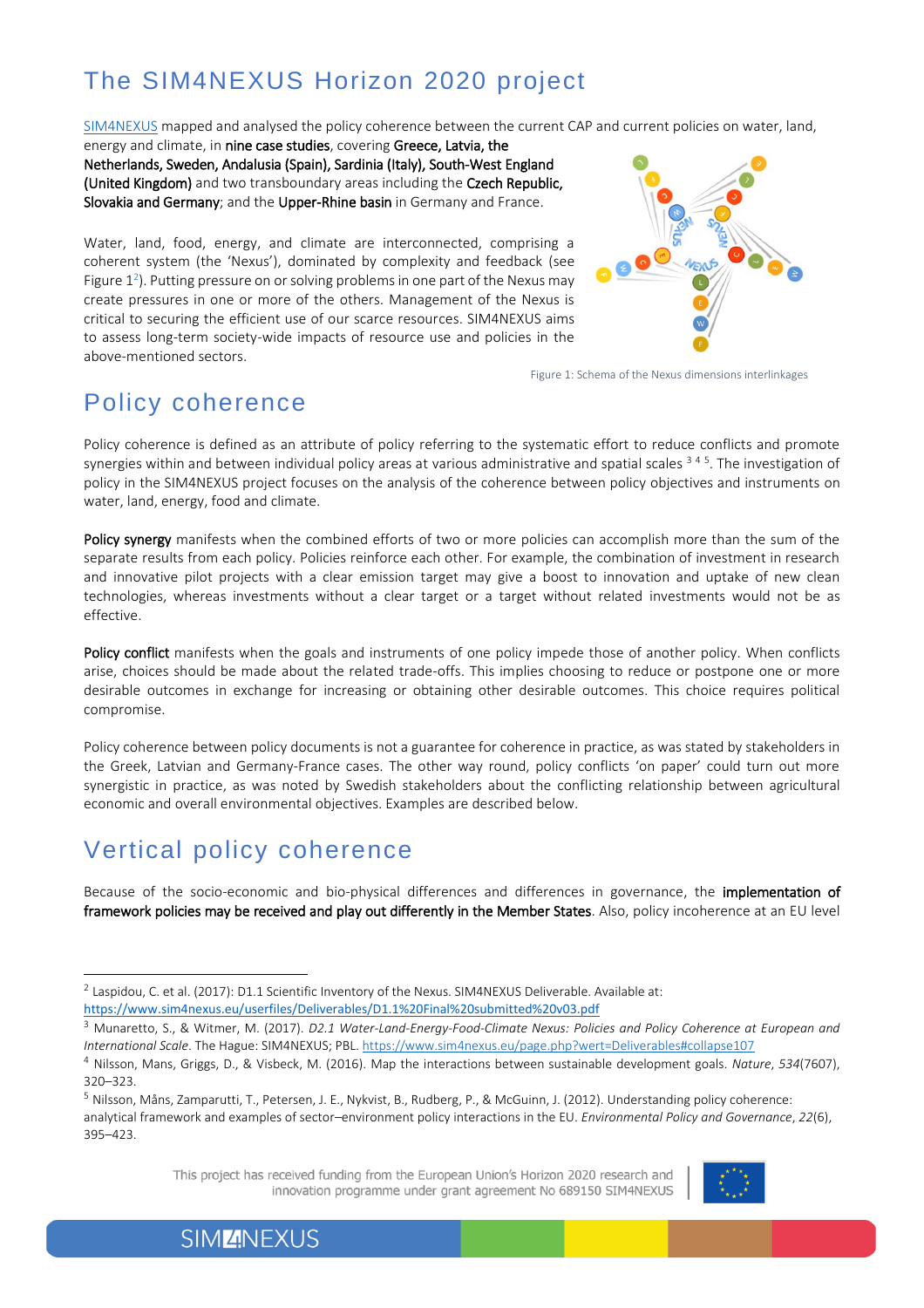# The SIM4NEXUS Horizon 2020 project

[SIM4NEXUS](https://www.sim4nexus.eu/) mapped and analysed the policy coherence between the current CAP and current policies on water, land,

energy and climate, in nine case studies, covering Greece, Latvia, the Netherlands, Sweden, Andalusia (Spain), Sardinia (Italy), South-West England (United Kingdom) and two transboundary areas including the Czech Republic, Slovakia and Germany; and the Upper-Rhine basin in Germany and France.

Water, land, food, energy, and climate are interconnected, comprising a coherent system (the 'Nexus'), dominated by complexity and feedback (see Figure  $1^2$ ). Putting pressure on or solving problems in one part of the Nexus may create pressures in one or more of the others. Management of the Nexus is critical to securing the efficient use of our scarce resources. SIM4NEXUS aims to assess long-term society-wide impacts of resource use and policies in the above-mentioned sectors.



Figure 1: Schema of the Nexus dimensions interlinkages

## Policy coherence

Policy coherence is defined as an attribute of policy referring to the systematic effort to reduce conflicts and promote synergies within and between individual policy areas at various administrative and spatial scales <sup>345</sup>. The investigation of policy in the SIM4NEXUS project focuses on the analysis of the coherence between policy objectives and instruments on water, land, energy, food and climate.

Policy synergy manifests when the combined efforts of two or more policies can accomplish more than the sum of the separate results from each policy. Policies reinforce each other. For example, the combination of investment in research and innovative pilot projects with a clear emission target may give a boost to innovation and uptake of new clean technologies, whereas investments without a clear target or a target without related investments would not be as effective.

Policy conflict manifests when the goals and instruments of one policy impede those of another policy. When conflicts arise, choices should be made about the related trade-offs. This implies choosing to reduce or postpone one or more desirable outcomes in exchange for increasing or obtaining other desirable outcomes. This choice requires political compromise.

Policy coherence between policy documents is not a guarantee for coherence in practice, as was stated by stakeholders in the Greek, Latvian and Germany‐France cases. The other way round, policy conflicts 'on paper' could turn out more synergistic in practice, as was noted by Swedish stakeholders about the conflicting relationship between agricultural economic and overall environmental objectives. Examples are described below.

## Vertical policy coherence

 $\overline{a}$ 

Because of the socio-economic and bio-physical differences and differences in governance, the implementation of framework policies may be received and play out differently in the Member States. Also, policy incoherence at an EU level

This project has received funding from the European Union's Horizon 2020 research and innovation programme under grant agreement No 689150 SIM4NEXUS



 $^2$  Laspidou, C. et al. (2017): D1.1 Scientific Inventory of the Nexus. SIM4NEXUS Deliverable. Available at:

<https://www.sim4nexus.eu/userfiles/Deliverables/D1.1%20Final%20submitted%20v03.pdf>

<sup>3</sup> Munaretto, S., & Witmer, M. (2017). *D2.1 Water‐Land‐Energy‐Food‐Climate Nexus: Policies and Policy Coherence at European and International Scale*. The Hague: SIM4NEXUS; PBL. <https://www.sim4nexus.eu/page.php?wert=Deliverables#collapse107>

<sup>4</sup> Nilsson, Mans, Griggs, D., & Visbeck, M. (2016). Map the interactions between sustainable development goals. *Nature*, *534*(7607), 320–323.

<sup>5</sup> Nilsson, Måns, Zamparutti, T., Petersen, J. E., Nykvist, B., Rudberg, P., & McGuinn, J. (2012). Understanding policy coherence: analytical framework and examples of sector–environment policy interactions in the EU. *Environmental Policy and Governance*, *22*(6), 395–423.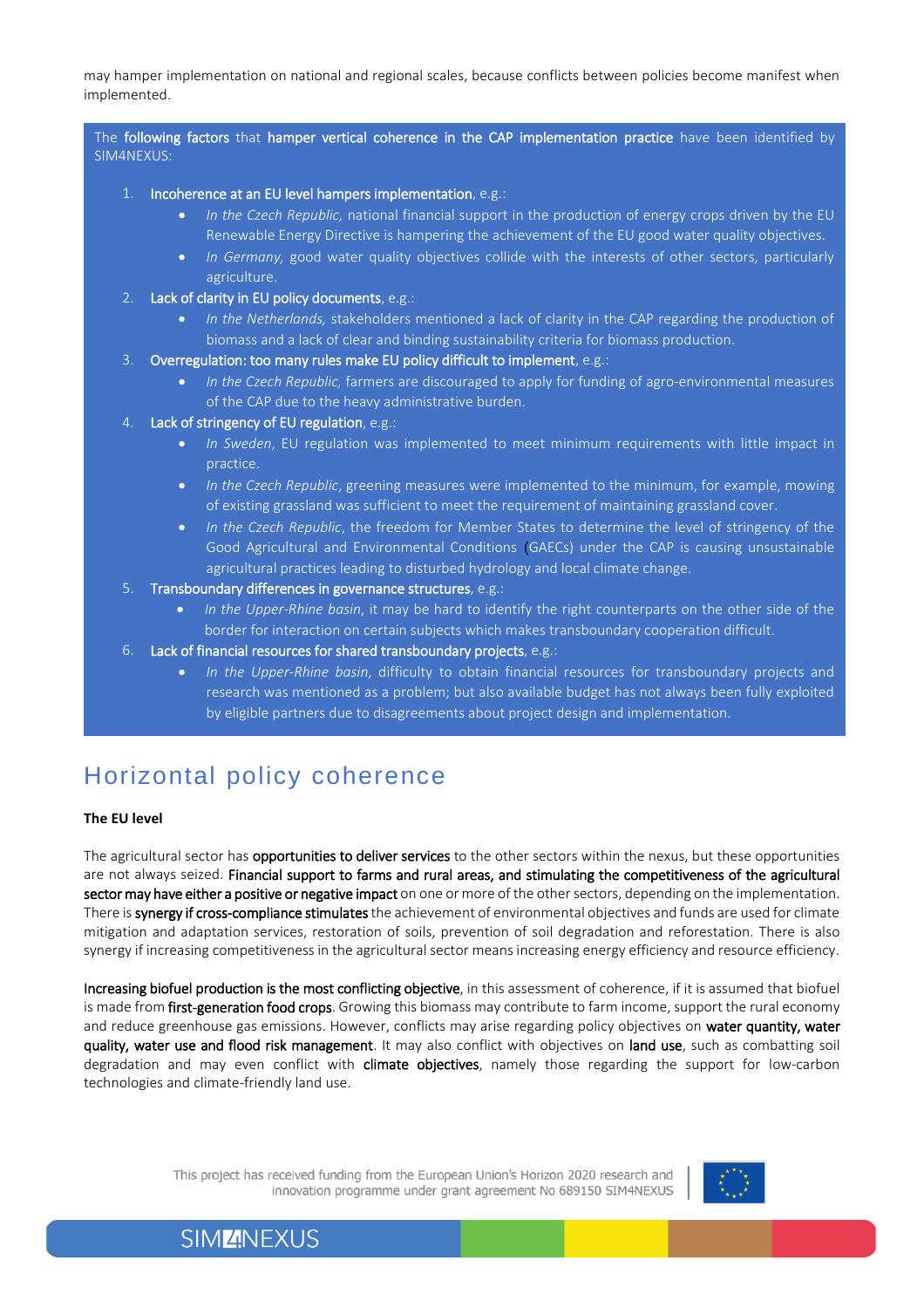may hamper implementation on national and regional scales, because conflicts between policies become manifest when implemented.

The following factors that hamper vertical coherence in the CAP implementation practice have been identified by SIM4NEXUS:

- 1. Incoherence at an EU level hampers implementation, e.g.:
	- *In the Czech Republic,* national financial support in the production of energy crops driven by the EU Renewable Energy Directive is hampering the achievement of the EU good water quality objectives.
	- *In Germany,* good water quality objectives collide with the interests of other sectors, particularly agriculture.
- 2. Lack of clarity in EU policy documents, e.g.:
	- *In the Netherlands,* stakeholders mentioned a lack of clarity in the CAP regarding the production of biomass and a lack of clear and binding sustainability criteria for biomass production.
- 3. Overregulation: too many rules make EU policy difficult to implement, e.g.:
	- *In the Czech Republic,* farmers are discouraged to apply for funding of agro‐environmental measures of the CAP due to the heavy administrative burden.
- 4. Lack of stringency of EU regulation, e.g.:
	- *In Sweden*, EU regulation was implemented to meet minimum requirements with little impact in practice.
	- *In the Czech Republic*, greening measures were implemented to the minimum, for example, mowing of existing grassland was sufficient to meet the requirement of maintaining grassland cover.
	- *In the Czech Republic*, the freedom for Member States to determine the level of stringency of the Good Agricultural and Environmental Conditions (GAECs) under the CAP is causing unsustainable agricultural practices leading to disturbed hydrology and local climate change.
- 5. Transboundary differences in governance structures, e.g.:
	- *In the Upper-Rhine basin*, it may be hard to identify the right counterparts on the other side of the border for interaction on certain subjects which makes transboundary cooperation difficult.
- 6. Lack of financial resources for shared transboundary projects, e.g.:
	- *In the Upper-Rhine basin*, difficulty to obtain financial resources for transboundary projects and research was mentioned as a problem; but also available budget has not always been fully exploited by eligible partners due to disagreements about project design and implementation.

#### Horizontal policy coherence

#### **The EU level**

The agricultural sector has opportunities to deliver services to the other sectors within the nexus, but these opportunities are not always seized. Financial support to farms and rural areas, and stimulating the competitiveness of the agricultural sector may have either a positive or negative impact on one or more of the other sectors, depending on the implementation. There is synergy if cross-compliance stimulates the achievement of environmental objectives and funds are used for climate mitigation and adaptation services, restoration of soils, prevention of soil degradation and reforestation. There is also synergy if increasing competitiveness in the agricultural sector means increasing energy efficiency and resource efficiency.

Increasing biofuel production is the most conflicting objective, in this assessment of coherence, if it is assumed that biofuel is made from first-generation food crops. Growing this biomass may contribute to farm income, support the rural economy and reduce greenhouse gas emissions. However, conflicts may arise regarding policy objectives on water quantity, water quality, water use and flood risk management. It may also conflict with objectives on land use, such as combatting soil degradation and may even conflict with climate objectives, namely those regarding the support for low-carbon technologies and climate‐friendly land use.

> This project has received funding from the European Union's Horizon 2020 research and innovation programme under grant agreement No 689150 SIM4NEXUS



#### **SIMZNEXUS**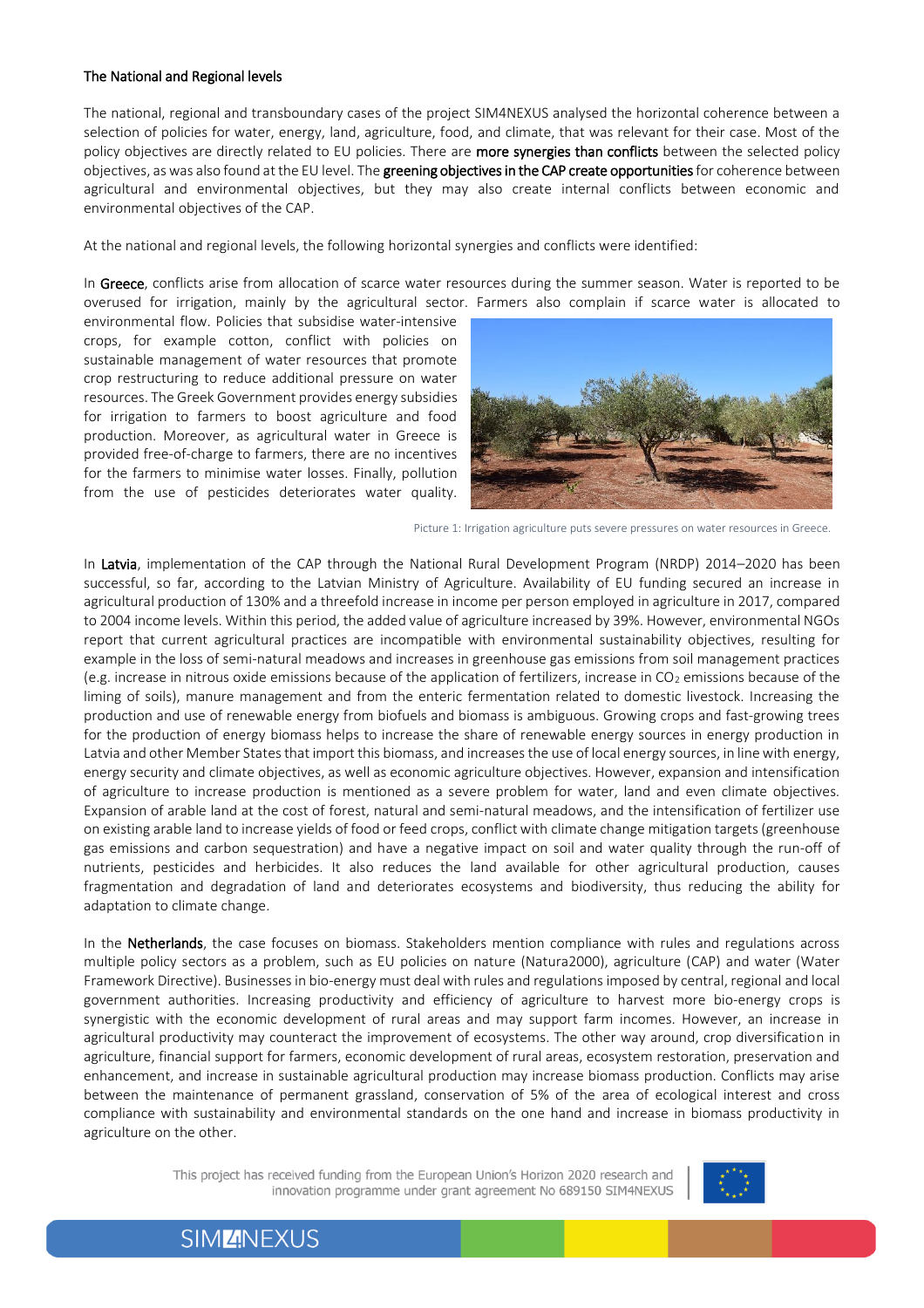#### The National and Regional levels

The national, regional and transboundary cases of the project SIM4NEXUS analysed the horizontal coherence between a selection of policies for water, energy, land, agriculture, food, and climate, that was relevant for their case. Most of the policy objectives are directly related to EU policies. There are more synergies than conflicts between the selected policy objectives, as was also found at the EU level. The greening objectives in the CAP create opportunities for coherence between agricultural and environmental objectives, but they may also create internal conflicts between economic and environmental objectives of the CAP.

At the national and regional levels, the following horizontal synergies and conflicts were identified:

In Greece, conflicts arise from allocation of scarce water resources during the summer season. Water is reported to be overused for irrigation, mainly by the agricultural sector. Farmers also complain if scarce water is allocated to

environmental flow. Policies that subsidise water‐intensive crops, for example cotton, conflict with policies on sustainable management of water resources that promote crop restructuring to reduce additional pressure on water resources. The Greek Government provides energy subsidies for irrigation to farmers to boost agriculture and food production. Moreover, as agricultural water in Greece is provided free‐of‐charge to farmers, there are no incentives for the farmers to minimise water losses. Finally, pollution from the use of pesticides deteriorates water quality.



Picture 1: Irrigation agriculture puts severe pressures on water resources in Greece.

In Latvia, implementation of the CAP through the National Rural Development Program (NRDP) 2014–2020 has been successful, so far, according to the Latvian Ministry of Agriculture. Availability of EU funding secured an increase in agricultural production of 130% and a threefold increase in income per person employed in agriculture in 2017, compared to 2004 income levels. Within this period, the added value of agriculture increased by 39%. However, environmental NGOs report that current agricultural practices are incompatible with environmental sustainability objectives, resulting for example in the loss of semi-natural meadows and increases in greenhouse gas emissions from soil management practices (e.g. increase in nitrous oxide emissions because of the application of fertilizers, increase in  $CO<sub>2</sub>$  emissions because of the liming of soils), manure management and from the enteric fermentation related to domestic livestock. Increasing the production and use of renewable energy from biofuels and biomass is ambiguous. Growing crops and fast-growing trees for the production of energy biomass helps to increase the share of renewable energy sources in energy production in Latvia and other Member States that import this biomass, and increases the use of local energy sources, in line with energy, energy security and climate objectives, as well as economic agriculture objectives. However, expansion and intensification of agriculture to increase production is mentioned as a severe problem for water, land and even climate objectives. Expansion of arable land at the cost of forest, natural and semi-natural meadows, and the intensification of fertilizer use on existing arable land to increase yields of food or feed crops, conflict with climate change mitigation targets (greenhouse gas emissions and carbon sequestration) and have a negative impact on soil and water quality through the run-off of nutrients, pesticides and herbicides. It also reduces the land available for other agricultural production, causes fragmentation and degradation of land and deteriorates ecosystems and biodiversity, thus reducing the ability for adaptation to climate change.

In the Netherlands, the case focuses on biomass. Stakeholders mention compliance with rules and regulations across multiple policy sectors as a problem, such as EU policies on nature (Natura2000), agriculture (CAP) and water (Water Framework Directive). Businesses in bio‐energy must deal with rules and regulations imposed by central, regional and local government authorities. Increasing productivity and efficiency of agriculture to harvest more bio-energy crops is synergistic with the economic development of rural areas and may support farm incomes. However, an increase in agricultural productivity may counteract the improvement of ecosystems. The other way around, crop diversification in agriculture, financial support for farmers, economic development of rural areas, ecosystem restoration, preservation and enhancement, and increase in sustainable agricultural production may increase biomass production. Conflicts may arise between the maintenance of permanent grassland, conservation of 5% of the area of ecological interest and cross compliance with sustainability and environmental standards on the one hand and increase in biomass productivity in agriculture on the other.

> This project has received funding from the European Union's Horizon 2020 research and innovation programme under grant agreement No 689150 SIM4NEXUS



**SIMZNEXUS**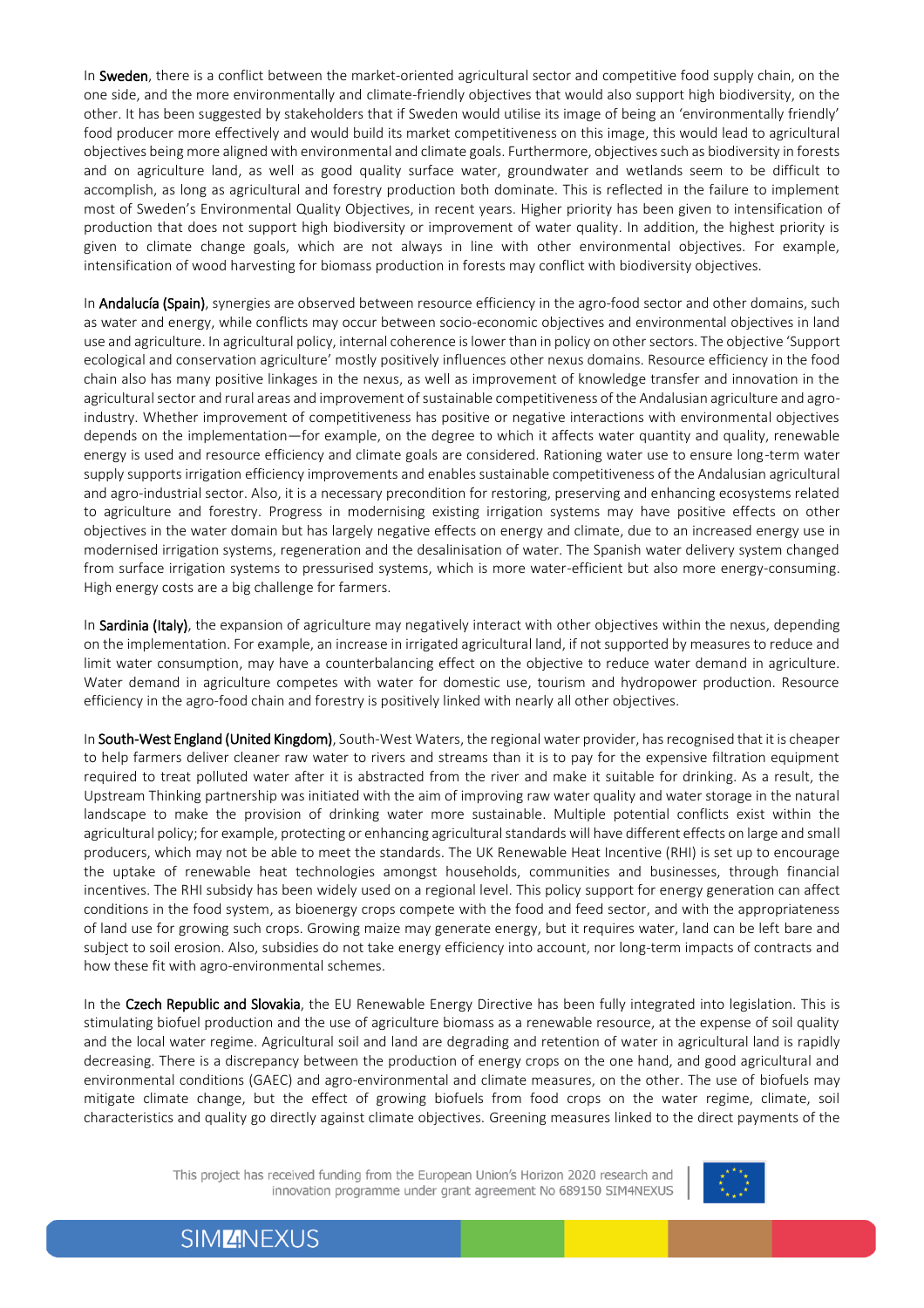In Sweden, there is a conflict between the market-oriented agricultural sector and competitive food supply chain, on the one side, and the more environmentally and climate-friendly objectives that would also support high biodiversity, on the other. It has been suggested by stakeholders that if Sweden would utilise its image of being an 'environmentally friendly' food producer more effectively and would build its market competitiveness on this image, this would lead to agricultural objectives being more aligned with environmental and climate goals. Furthermore, objectives such as biodiversity in forests and on agriculture land, as well as good quality surface water, groundwater and wetlands seem to be difficult to accomplish, as long as agricultural and forestry production both dominate. This is reflected in the failure to implement most of Sweden's Environmental Quality Objectives, in recent years. Higher priority has been given to intensification of production that does not support high biodiversity or improvement of water quality. In addition, the highest priority is given to climate change goals, which are not always in line with other environmental objectives. For example, intensification of wood harvesting for biomass production in forests may conflict with biodiversity objectives.

In **Andalucía (Spain)**, synergies are observed between resource efficiency in the agro-food sector and other domains, such as water and energy, while conflicts may occur between socio-economic objectives and environmental objectives in land use and agriculture. In agricultural policy, internal coherence is lower than in policy on other sectors. The objective 'Support ecological and conservation agriculture' mostly positively influences other nexus domains. Resource efficiency in the food chain also has many positive linkages in the nexus, as well as improvement of knowledge transfer and innovation in the agricultural sector and rural areas and improvement of sustainable competitiveness of the Andalusian agriculture and agroindustry. Whether improvement of competitiveness has positive or negative interactions with environmental objectives depends on the implementation—for example, on the degree to which it affects water quantity and quality, renewable energy is used and resource efficiency and climate goals are considered. Rationing water use to ensure long-term water supply supports irrigation efficiency improvements and enables sustainable competitiveness of the Andalusian agricultural and agro-industrial sector. Also, it is a necessary precondition for restoring, preserving and enhancing ecosystems related to agriculture and forestry. Progress in modernising existing irrigation systems may have positive effects on other objectives in the water domain but has largely negative effects on energy and climate, due to an increased energy use in modernised irrigation systems, regeneration and the desalinisation of water. The Spanish water delivery system changed from surface irrigation systems to pressurised systems, which is more water-efficient but also more energy-consuming. High energy costs are a big challenge for farmers.

In Sardinia (Italy), the expansion of agriculture may negatively interact with other objectives within the nexus, depending on the implementation. For example, an increase in irrigated agricultural land, if not supported by measures to reduce and limit water consumption, may have a counterbalancing effect on the objective to reduce water demand in agriculture. Water demand in agriculture competes with water for domestic use, tourism and hydropower production. Resource efficiency in the agro-food chain and forestry is positively linked with nearly all other objectives.

In South-West England (United Kingdom), South-West Waters, the regional water provider, has recognised that it is cheaper to help farmers deliver cleaner raw water to rivers and streams than it is to pay for the expensive filtration equipment required to treat polluted water after it is abstracted from the river and make it suitable for drinking. As a result, the Upstream Thinking partnership was initiated with the aim of improving raw water quality and water storage in the natural landscape to make the provision of drinking water more sustainable. Multiple potential conflicts exist within the agricultural policy; for example, protecting or enhancing agricultural standards will have different effects on large and small producers, which may not be able to meet the standards. The UK Renewable Heat Incentive (RHI) is set up to encourage the uptake of renewable heat technologies amongst households, communities and businesses, through financial incentives. The RHI subsidy has been widely used on a regional level. This policy support for energy generation can affect conditions in the food system, as bioenergy crops compete with the food and feed sector, and with the appropriateness of land use for growing such crops. Growing maize may generate energy, but it requires water, land can be left bare and subject to soil erosion. Also, subsidies do not take energy efficiency into account, nor long-term impacts of contracts and how these fit with agro-environmental schemes.

In the Czech Republic and Slovakia, the EU Renewable Energy Directive has been fully integrated into legislation. This is stimulating biofuel production and the use of agriculture biomass as a renewable resource, at the expense of soil quality and the local water regime. Agricultural soil and land are degrading and retention of water in agricultural land is rapidly decreasing. There is a discrepancy between the production of energy crops on the one hand, and good agricultural and environmental conditions (GAEC) and agro‐environmental and climate measures, on the other. The use of biofuels may mitigate climate change, but the effect of growing biofuels from food crops on the water regime, climate, soil characteristics and quality go directly against climate objectives. Greening measures linked to the direct payments of the

> This project has received funding from the European Union's Horizon 2020 research and innovation programme under grant agreement No 689150 SIM4NEXUS



**SIMZNEXUS**